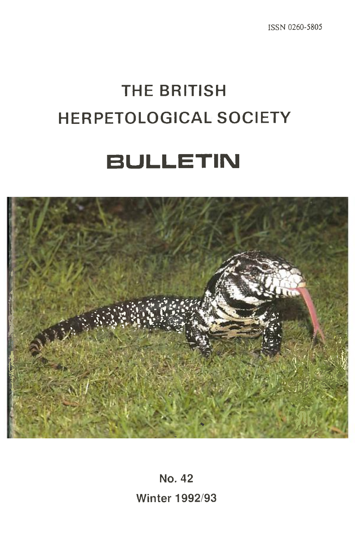# **THE BRITISH HERPETOLOGICAL SOCIETY**

**BULLETIN** 



**No. 42 Winter 1992/93**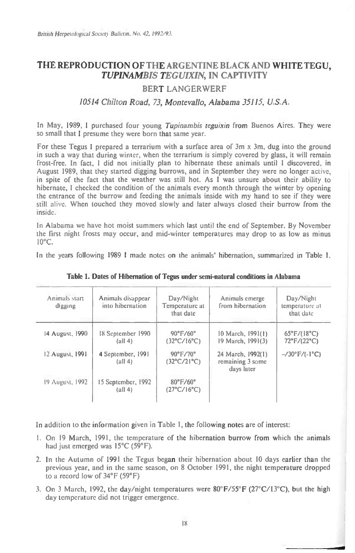## **THE REPRODUCTION OF THE ARGENTINE BLACK AND WHITE TEGU,**  *TUPINAMBIS TEGUIXIN,* **IN CAPTIVITY**

## **BERT LANGERWERF**

### *10514 Chilton Road, 73, Montevallo, Alabama 35115, U.S.A.*

In May, 1989, I purchased four young Tupinambis teguixin from Buenos Aires. They were so small that I presume they were born that same year.

For these Tegus I prepared a terrarium with a surface area of 3m x 3m, dug into the ground in such a way that during winter, when the terrarium is simply covered by glass, it will remain frost-free. In fact, I did not initially plan to hibernate these animals until **<sup>I</sup>**discovered, in August 1989, that they started digging burrows, and in September they were no longer active, in spite of the fact that the weather was still hot. As **I** was unsure about their ability to hibernate, I checked the condition of the animals every month through the winter by opening the entrance of the burrow and feeding the animals inside with my hand to see if they were still alive. When touched they moved slowly and later always closed their burrow from the inside.

In Alabama we have hot moist summers which last until the end of September. By November the first night frosts may occur, and mid-winter temperatures may drop to as low as minus  $10^{\circ}$ C.

In the years following 1989 I made notes on the animals' hibernation, summarized in Table 1.

| Animals start<br>digging | Animals disappear<br>into hibernation              | Day/Night<br>Temperature at<br>that date          | Animals emerge<br>from hibernation                  | Day/Night<br>temperature at<br>that date |  |
|--------------------------|----------------------------------------------------|---------------------------------------------------|-----------------------------------------------------|------------------------------------------|--|
| 14 August, 1990          | 18 September 1990<br>(a   4)                       | $90^{\circ}$ F/60°<br>$(32^{\circ}C/16^{\circ}C)$ | 10 March, 1991(1)<br>19 March, 1991(3)              | $65^{\circ}$ F/(18°C)<br>72°F/(22°C)     |  |
| 12 August, 1991          | 4 September, 1991<br>$\left(\text{all } 4\right)$  | $90^{\circ}$ F/70°<br>$(32^{\circ}C/21^{\circ}C)$ | 24 March, 1992(1)<br>remaining 3 some<br>days later | $-$ /30°F/(-1°C)                         |  |
| 19 August, 1992          | 15 September, 1992<br>$\left(\text{all } 4\right)$ | $80^{\circ}$ F/60°<br>$(27^{\circ}C/16^{\circ}C)$ |                                                     |                                          |  |

**Table 1. Dates of Hibernation of Tegus under semi-natural conditions in Alabama** 

In addition to the information given in Table 1, the following notes are of interest:

- **I.** On 19 March, 1991, the temperature of the hibernation burrow from which the animals had just emerged was 15°C (59°F).
- 2. In the Autumn of 1991 the Tegus began their hibernation about 10 days earlier than the previous year, and in the same season, on 8 October 1991, the night temperature dropped to a record low of 34°F (59°F)
- 3. On 3 March, 1992, the day/night temperatures were  $80^{\circ}F/55^{\circ}F(27^{\circ}C/13^{\circ}C)$ , but the high day temperature did not trigger emergence.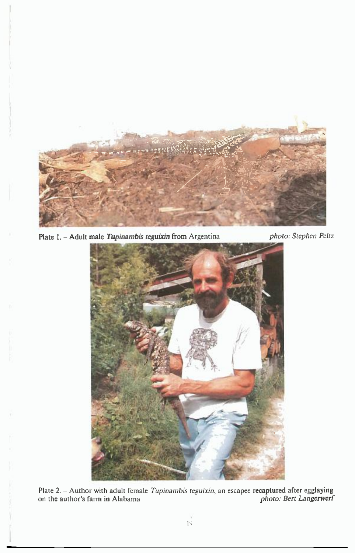

**Plate 1. - Adult male** *Tupinambis teguixin* **from** Argentina *photo: Stephen Peitz* 

1



**Plate 2. - Author** with adult female *Tupinambis teguixin,* an escapee **recaptured after egglaying**  on **the author's farm in** Alabama *photo: Bert Langerwerf*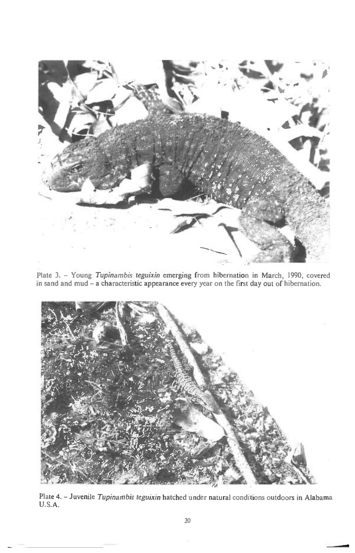

Plate 3. - Young *Tupinambis teguixin* emerging from hibernation in March, 1990, covered in sand and mud - a characteristic appearance every year on the first day out of hibernation.



Plate 4. - Juvenile *Tupinambis teguixin* hatched under natural conditions outdoors in Alabama U.S.A.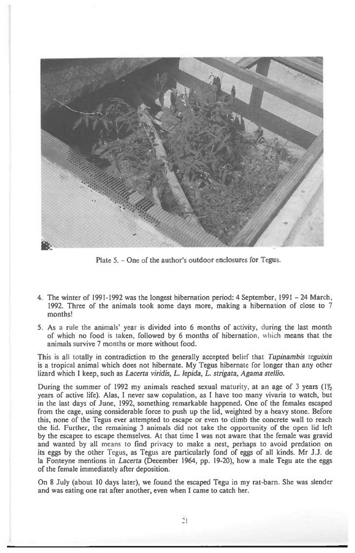

Plate 5. - One of the author's outdoor enclosures for Tegus.

- 4 The winter of 1991-1992 was the longest hibernation period: 4 September, 1991 24 March, 1992. Three of the animals took some days more, making a hibernation of close to 7 months!
- 5. As a rule the animals' year is divided into 6 months of activity, during the last month of which no food is taken, followed by 6 months of hibernation, which means that the animals survive 7 months or more without food.

This is all totally in contradiction to the generally accepted belief that *Tupinambis teguixin is* a tropical animal which does not hibernate. My Tegus hibernate for longer than any other lizard which I keep, such as *Lacerta viridis, L. lepida, L. strigata, Agama stellio.* 

During the summer of 1992 my animals reached sexual maturity, at an age of 3 years  $(1\frac{1}{2})$ years of active life). Alas, I never saw copulation, as I have too many vivaria to watch, but in the last days of June, 1992, something remarkable happened. One of the females escaped from the cage, using considerable force to push up the lid, weighted by a heavy stone. Before this, none of the Tegus ever attempted to escape or even to climb the concrete wall to reach the lid. Further, the remaining 3 animals did not take the opportunity of the open lid left by the escapee to escape themselves. At that time I was not aware that the female was gravid and wanted by all means to find privacy to make a nest, perhaps to avoid predation on its eggs by the other Tegus, as Tegus are particularly fond of eggs of all kinds. Mr J.J. de la Fonteyne mentions in *Lacerta* (December 1964, pp. 19-20), how a male Tegu ate the eggs of the female immediately after deposition.

On 8 July (about 10 days later), we found the escaped Tegu in my rat-barn. She was slender and was eating one rat after another, even when I came to catch her.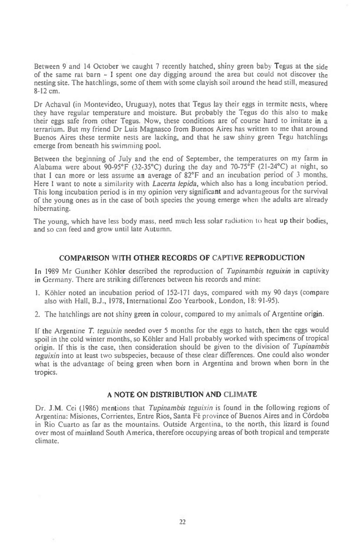Between 9 and 14 October we caught 7 recently hatched, shiny green baby Tegus at the side of the same rat barn — I spent one day digging around the area but could not discover the nesting site. The hatchlings, some of them with some clayish soil around the head still, measured 8-12 cm.

Dr Achaval (in Montevideo, Uruguay), notes that Tegus lay their eggs in termite nests, where they have regular temperature and moisture. But probably the Tegus do this also to make their eggs safe from other Tegus. Now, these conditions are of course hard to imitate in a terrarium. But my friend Dr Luis Magnasco from Buenos Aires has written to me that around Buenos Aires these termite nests are lacking, and that he saw shiny green Tegu hatchlings emerge from beneath his swimming pool.

Between the beginning of July and the end of September, the temperatures on my farm in Alabama were about 90-95°F (32-35°C) during the day and 70-75°F (21-24°C) at night, so that I can more or less assume an average of  $82^{\circ}$ F and an incubation period of 3 months. that I can more or less assume an average of  $82^{\circ}F$  and an incubation period of 3 months.<br>Here I want to note a similarity with *Lacerta lepida*, which also has a long incubation period. This long incubation period is in my opinion very significant and advantageous for the survival of the young ones as in the case of both species the young emerge when the adults are already hibernating.

The young, which have less body mass, need much less solar radiation to heat up their bodies, and so can feed and grow until late Autumn.

#### **COMPARISON WITH OTHER RECORDS OF CAPTIVE REPRODUCTION**

In 1989 Mr Gunther Köhler described the reproduction of Tupinambis teguixin in captivity in Germany. There are striking differences between his records and mine:

- 1. Kibler noted an incubation period of 152-171 days, compared with my 90 days (compare also with Hall, **B.J.,** 1978, International Zoo Yearbook, London, 18: 91-95).
- 2. The hatchlings are not shiny green in colour, compared to my animals of Argentine origin.

If the Argentine T. teguixin needed over 5 months for the eggs to hatch, then the eggs would spoil in the cold winter months, so Köhler and Hall probably worked with specimens of tropical origin. If this is the case, then consideration should be given to the division of Tupinambis teguixin into at least two subspecies, because of these clear differences. One could also wonder what is the advantage of being green when born in Argentina and brown when born in the tropics.

#### **A NOTE ON DISTRIBUTION AND CLIMATE**

Dr. J.M. Cei (1986) mentions that Tupinambis teguixin is found in the following regions of Argentina: Misiones, Corrientes, Entre Rios, Santa Fé province of Buenos Aires and in Córdoba in Rio Cuarto as far as the mountains. Outside Argentina, to the north, this lizard is found over most of mainland South America, therefore occupying areas of both tropical and temperate climate.